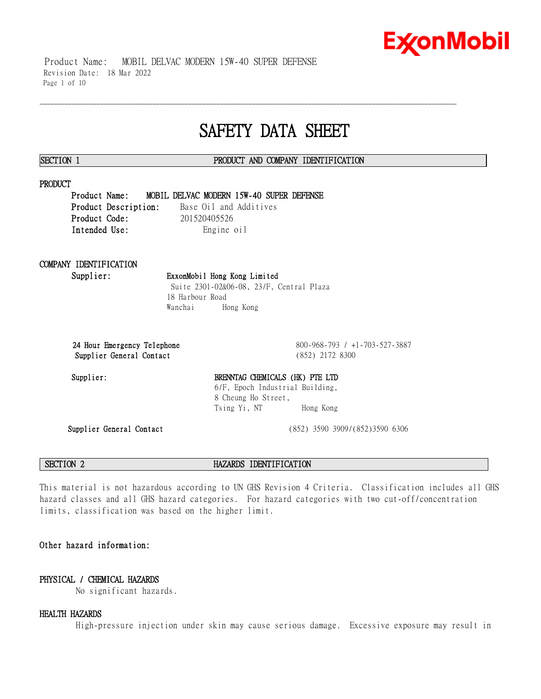Product Name: MOBIL DELVAC MODERN 15W-40 SUPER DEFENSE Revision Date: 18 Mar 2022 Page 1 of 10

## **SAFETY DATA SHEET**

\_\_\_\_\_\_\_\_\_\_\_\_\_\_\_\_\_\_\_\_\_\_\_\_\_\_\_\_\_\_\_\_\_\_\_\_\_\_\_\_\_\_\_\_\_\_\_\_\_\_\_\_\_\_\_\_\_\_\_\_\_\_\_\_\_\_\_\_\_\_\_\_\_\_\_\_\_\_\_\_\_\_\_\_\_\_\_\_\_\_\_\_\_\_\_\_\_\_\_\_\_\_\_\_\_\_\_\_\_\_\_\_\_\_\_\_\_\_

### **SECTION 1 PRODUCT AND COMPANY IDENTIFICATION**

### **PRODUCT**

**Product Name: MOBIL DELVAC MODERN 15W-40 SUPER DEFENSE Product Description:** Base Oil and Additives **Product Code:** 201520405526 Intended Use: Engine oil

## **COMPANY IDENTIFICATION**

**Supplier: ExxonMobil Hong Kong Limited** Suite 2301-02&06-08, 23/F, Central Plaza 18 Harbour Road Wanchai Hong Kong

**Supplier General Contact** (852) 2172 8300

**24 Hour Emergency Telephone** 800-968-793 / +1-703-527-3887

## Supplier: BRENNTAG CHEMICALS (HK) PTE LTD 6/F, Epoch Industrial Building, 8 Cheung Ho Street, Tsing Yi, NT Hong Kong

**Supplier General Contact** (852) 3590 3909/(852)3590 6306

**SECTION 2 HAZARDS IDENTIFICATION**

This material is not hazardous according to UN GHS Revision 4 Criteria. Classification includes all GHS hazard classes and all GHS hazard categories. For hazard categories with two cut-off/concentration limits, classification was based on the higher limit.

## **Other hazard information:**

## **PHYSICAL / CHEMICAL HAZARDS**

No significant hazards.

### **HEALTH HAZARDS**

High-pressure injection under skin may cause serious damage. Excessive exposure may result in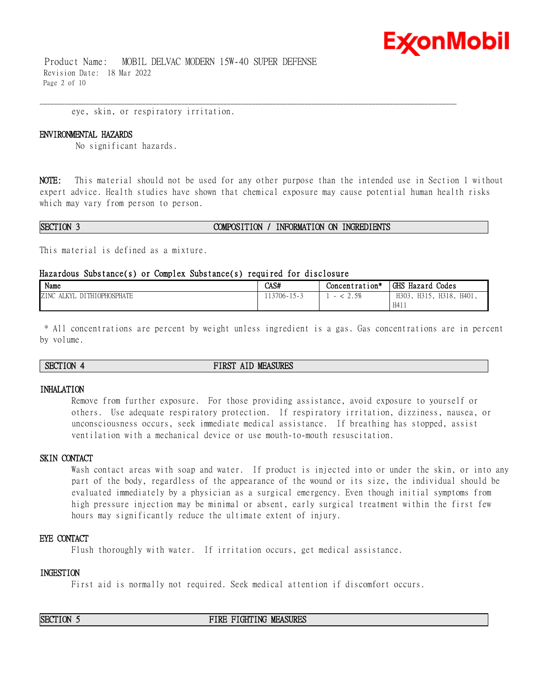Product Name: MOBIL DELVAC MODERN 15W-40 SUPER DEFENSE Revision Date: 18 Mar 2022 Page 2 of 10

eye, skin, or respiratory irritation.

### **ENVIRONMENTAL HAZARDS**

No significant hazards.

**NOTE:** This material should not be used for any other purpose than the intended use in Section 1 without expert advice. Health studies have shown that chemical exposure may cause potential human health risks which may vary from person to person.

\_\_\_\_\_\_\_\_\_\_\_\_\_\_\_\_\_\_\_\_\_\_\_\_\_\_\_\_\_\_\_\_\_\_\_\_\_\_\_\_\_\_\_\_\_\_\_\_\_\_\_\_\_\_\_\_\_\_\_\_\_\_\_\_\_\_\_\_\_\_\_\_\_\_\_\_\_\_\_\_\_\_\_\_\_\_\_\_\_\_\_\_\_\_\_\_\_\_\_\_\_\_\_\_\_\_\_\_\_\_\_\_\_\_\_\_\_\_

### **SECTION 3 COMPOSITION / INFORMATION ON INGREDIENTS**

This material is defined as a mixture.

### **Hazardous Substance(s) or Complex Substance(s) required for disclosure**

| Name                                             | CAS#                               | Concentration*            | GHS Hazard<br>Codes                     |
|--------------------------------------------------|------------------------------------|---------------------------|-----------------------------------------|
| <b>DITHIOPHOSPHATE</b><br>ZINC<br>AT VV<br>יו דו | $13706 - 1$<br>$\sim$ 15 $\degree$ | 50<br>$\sim \cdot \sim v$ | H318.<br>H303<br>H401,<br>H315,<br>H411 |

\* All concentrations are percent by weight unless ingredient is a gas. Gas concentrations are in percent by volume.

### **SECTION 4 FIRST AID MEASURES**

### **INHALATION**

Remove from further exposure. For those providing assistance, avoid exposure to yourself or others. Use adequate respiratory protection. If respiratory irritation, dizziness, nausea, or unconsciousness occurs, seek immediate medical assistance. If breathing has stopped, assist ventilation with a mechanical device or use mouth-to-mouth resuscitation.

### **SKIN CONTACT**

Wash contact areas with soap and water. If product is injected into or under the skin, or into any part of the body, regardless of the appearance of the wound or its size, the individual should be evaluated immediately by a physician as a surgical emergency. Even though initial symptoms from high pressure injection may be minimal or absent, early surgical treatment within the first few hours may significantly reduce the ultimate extent of injury.

### **EYE CONTACT**

Flush thoroughly with water. If irritation occurs, get medical assistance.

### **INGESTION**

First aid is normally not required. Seek medical attention if discomfort occurs.

**SECTION 5 FIRE FIGHTING MEASURES**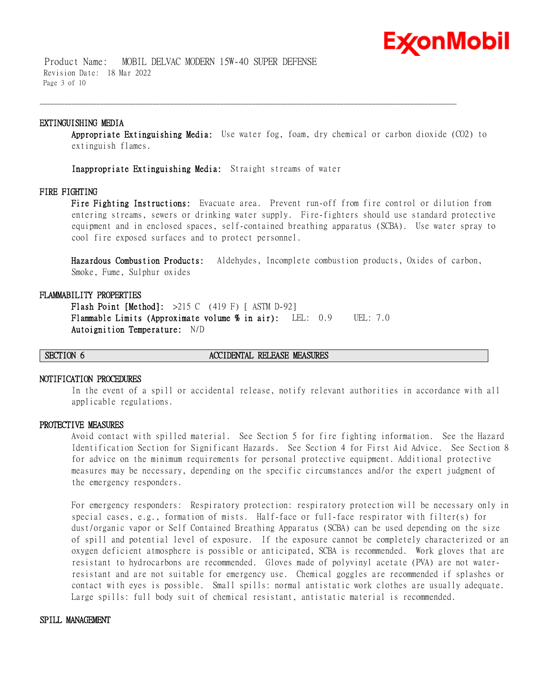Product Name: MOBIL DELVAC MODERN 15W-40 SUPER DEFENSE Revision Date: 18 Mar 2022 Page 3 of 10

### **EXTINGUISHING MEDIA**

**Appropriate Extinguishing Media:** Use water fog, foam, dry chemical or carbon dioxide (CO2) to extinguish flames.

\_\_\_\_\_\_\_\_\_\_\_\_\_\_\_\_\_\_\_\_\_\_\_\_\_\_\_\_\_\_\_\_\_\_\_\_\_\_\_\_\_\_\_\_\_\_\_\_\_\_\_\_\_\_\_\_\_\_\_\_\_\_\_\_\_\_\_\_\_\_\_\_\_\_\_\_\_\_\_\_\_\_\_\_\_\_\_\_\_\_\_\_\_\_\_\_\_\_\_\_\_\_\_\_\_\_\_\_\_\_\_\_\_\_\_\_\_\_

**Inappropriate Extinguishing Media:** Straight streams of water

### **FIRE FIGHTING**

**Fire Fighting Instructions:** Evacuate area. Prevent run-off from fire control or dilution from entering streams, sewers or drinking water supply. Fire-fighters should use standard protective equipment and in enclosed spaces, self-contained breathing apparatus (SCBA). Use water spray to cool fire exposed surfaces and to protect personnel.

**Hazardous Combustion Products:** Aldehydes, Incomplete combustion products, Oxides of carbon, Smoke, Fume, Sulphur oxides

### **FLAMMABILITY PROPERTIES**

**Flash Point [Method]:** >215 C (419 F) [ ASTM D-92] **Flammable Limits (Approximate volume % in air):** LEL: 0.9 UEL: 7.0 **Autoignition Temperature:** N/D

### **SECTION 6 ACCIDENTAL RELEASE MEASURES**

### **NOTIFICATION PROCEDURES**

In the event of a spill or accidental release, notify relevant authorities in accordance with all applicable regulations.

### **PROTECTIVE MEASURES**

Avoid contact with spilled material. See Section 5 for fire fighting information. See the Hazard Identification Section for Significant Hazards. See Section 4 for First Aid Advice. See Section 8 for advice on the minimum requirements for personal protective equipment. Additional protective measures may be necessary, depending on the specific circumstances and/or the expert judgment of the emergency responders.

For emergency responders: Respiratory protection: respiratory protection will be necessary only in special cases, e.g., formation of mists. Half-face or full-face respirator with filter(s) for dust/organic vapor or Self Contained Breathing Apparatus (SCBA) can be used depending on the size of spill and potential level of exposure. If the exposure cannot be completely characterized or an oxygen deficient atmosphere is possible or anticipated, SCBA is recommended. Work gloves that are resistant to hydrocarbons are recommended. Gloves made of polyvinyl acetate (PVA) are not waterresistant and are not suitable for emergency use. Chemical goggles are recommended if splashes or contact with eyes is possible. Small spills: normal antistatic work clothes are usually adequate. Large spills: full body suit of chemical resistant, antistatic material is recommended.

### **SPILL MANAGEMENT**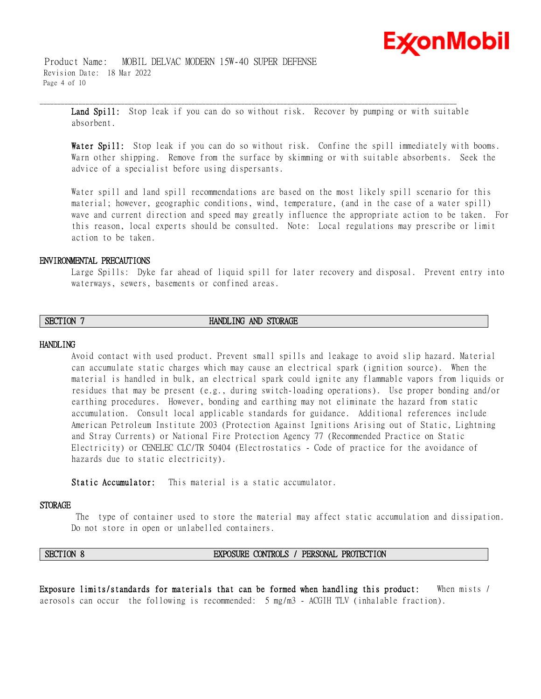Product Name: MOBIL DELVAC MODERN 15W-40 SUPER DEFENSE Revision Date: 18 Mar 2022 Page 4 of 10

> Land Spill: Stop leak if you can do so without risk. Recover by pumping or with suitable absorbent.

\_\_\_\_\_\_\_\_\_\_\_\_\_\_\_\_\_\_\_\_\_\_\_\_\_\_\_\_\_\_\_\_\_\_\_\_\_\_\_\_\_\_\_\_\_\_\_\_\_\_\_\_\_\_\_\_\_\_\_\_\_\_\_\_\_\_\_\_\_\_\_\_\_\_\_\_\_\_\_\_\_\_\_\_\_\_\_\_\_\_\_\_\_\_\_\_\_\_\_\_\_\_\_\_\_\_\_\_\_\_\_\_\_\_\_\_\_\_

**Water Spill:** Stop leak if you can do so without risk. Confine the spill immediately with booms. Warn other shipping. Remove from the surface by skimming or with suitable absorbents. Seek the advice of a specialist before using dispersants.

Water spill and land spill recommendations are based on the most likely spill scenario for this material; however, geographic conditions, wind, temperature, (and in the case of a water spill) wave and current direction and speed may greatly influence the appropriate action to be taken. For this reason, local experts should be consulted. Note: Local regulations may prescribe or limit action to be taken.

### **ENVIRONMENTAL PRECAUTIONS**

Large Spills: Dyke far ahead of liquid spill for later recovery and disposal. Prevent entry into waterways, sewers, basements or confined areas.

### **SECTION 7 HANDLING AND STORAGE**

### **HANDLING**

Avoid contact with used product. Prevent small spills and leakage to avoid slip hazard. Material can accumulate static charges which may cause an electrical spark (ignition source). When the material is handled in bulk, an electrical spark could ignite any flammable vapors from liquids or residues that may be present (e.g., during switch-loading operations). Use proper bonding and/or earthing procedures. However, bonding and earthing may not eliminate the hazard from static accumulation. Consult local applicable standards for guidance. Additional references include American Petroleum Institute 2003 (Protection Against Ignitions Arising out of Static, Lightning and Stray Currents) or National Fire Protection Agency 77 (Recommended Practice on Static Electricity) or CENELEC CLC/TR 50404 (Electrostatics - Code of practice for the avoidance of hazards due to static electricity).

**Static Accumulator:** This material is a static accumulator.

### **STORAGE**

The type of container used to store the material may affect static accumulation and dissipation. Do not store in open or unlabelled containers.

### **SECTION 8 EXPOSURE CONTROLS / PERSONAL PROTECTION**

**Exposure limits/standards for materials that can be formed when handling this product:** When mists / aerosols can occur the following is recommended: 5 mg/m3 - ACGIH TLV (inhalable fraction).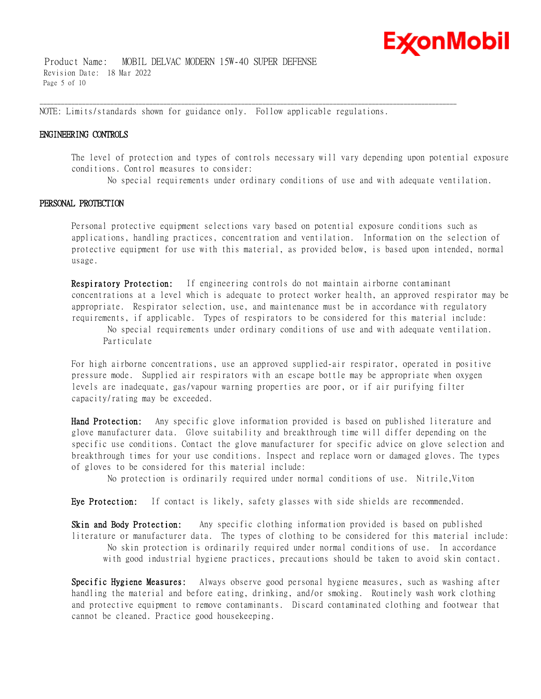Product Name: MOBIL DELVAC MODERN 15W-40 SUPER DEFENSE Revision Date: 18 Mar 2022 Page 5 of 10

NOTE: Limits/standards shown for guidance only. Follow applicable regulations.

\_\_\_\_\_\_\_\_\_\_\_\_\_\_\_\_\_\_\_\_\_\_\_\_\_\_\_\_\_\_\_\_\_\_\_\_\_\_\_\_\_\_\_\_\_\_\_\_\_\_\_\_\_\_\_\_\_\_\_\_\_\_\_\_\_\_\_\_\_\_\_\_\_\_\_\_\_\_\_\_\_\_\_\_\_\_\_\_\_\_\_\_\_\_\_\_\_\_\_\_\_\_\_\_\_\_\_\_\_\_\_\_\_\_\_\_\_\_

### **ENGINEERING CONTROLS**

The level of protection and types of controls necessary will vary depending upon potential exposure conditions. Control measures to consider:

No special requirements under ordinary conditions of use and with adequate ventilation.

### **PERSONAL PROTECTION**

Personal protective equipment selections vary based on potential exposure conditions such as applications, handling practices, concentration and ventilation. Information on the selection of protective equipment for use with this material, as provided below, is based upon intended, normal usage.

**Respiratory Protection:** If engineering controls do not maintain airborne contaminant concentrations at a level which is adequate to protect worker health, an approved respirator may be appropriate. Respirator selection, use, and maintenance must be in accordance with regulatory requirements, if applicable. Types of respirators to be considered for this material include:

No special requirements under ordinary conditions of use and with adequate ventilation. Particulate

For high airborne concentrations, use an approved supplied-air respirator, operated in positive pressure mode. Supplied air respirators with an escape bottle may be appropriate when oxygen levels are inadequate, gas/vapour warning properties are poor, or if air purifying filter capacity/rating may be exceeded.

**Hand Protection:** Any specific glove information provided is based on published literature and glove manufacturer data. Glove suitability and breakthrough time will differ depending on the specific use conditions. Contact the glove manufacturer for specific advice on glove selection and breakthrough times for your use conditions. Inspect and replace worn or damaged gloves. The types of gloves to be considered for this material include:

No protection is ordinarily required under normal conditions of use. Nitrile,Viton

**Eye Protection:** If contact is likely, safety glasses with side shields are recommended.

**Skin and Body Protection:** Any specific clothing information provided is based on published literature or manufacturer data. The types of clothing to be considered for this material include: No skin protection is ordinarily required under normal conditions of use. In accordance with good industrial hygiene practices, precautions should be taken to avoid skin contact.

**Specific Hygiene Measures:** Always observe good personal hygiene measures, such as washing after handling the material and before eating, drinking, and/or smoking. Routinely wash work clothing and protective equipment to remove contaminants. Discard contaminated clothing and footwear that cannot be cleaned. Practice good housekeeping.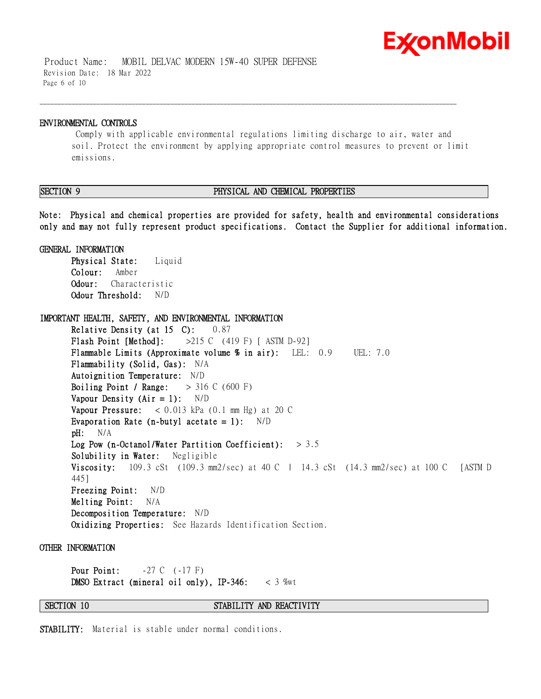Product Name: MOBIL DELVAC MODERN 15W-40 SUPER DEFENSE Revision Date: 18 Mar 2022 Page 6 of 10

### **ENVIRONMENTAL CONTROLS**

Comply with applicable environmental regulations limiting discharge to air, water and soil. Protect the environment by applying appropriate control measures to prevent or limit emissions.

\_\_\_\_\_\_\_\_\_\_\_\_\_\_\_\_\_\_\_\_\_\_\_\_\_\_\_\_\_\_\_\_\_\_\_\_\_\_\_\_\_\_\_\_\_\_\_\_\_\_\_\_\_\_\_\_\_\_\_\_\_\_\_\_\_\_\_\_\_\_\_\_\_\_\_\_\_\_\_\_\_\_\_\_\_\_\_\_\_\_\_\_\_\_\_\_\_\_\_\_\_\_\_\_\_\_\_\_\_\_\_\_\_\_\_\_\_\_

### **SECTION 9 PHYSICAL AND CHEMICAL PROPERTIES**

**Note: Physical and chemical properties are provided for safety, health and environmental considerations only and may not fully represent product specifications. Contact the Supplier for additional information.**

**GENERAL INFORMATION Physical State:** Liquid **Colour:** Amber **Odour:** Characteristic **Odour Threshold:** N/D

**IMPORTANT HEALTH, SAFETY, AND ENVIRONMENTAL INFORMATION Relative Density (at 15 C):** 0.87 **Flash Point [Method]:** >215 C (419 F) [ ASTM D-92] **Flammable Limits (Approximate volume % in air):** LEL: 0.9 UEL: 7.0 **Flammability (Solid, Gas):** N/A **Autoignition Temperature:** N/D **Boiling Point / Range:** > 316 C (600 F) **Vapour Density (Air = 1):** N/D **Vapour Pressure:** < 0.013 kPa (0.1 mm Hg) at 20 C **Evaporation Rate (n-butyl acetate = 1):** N/D **pH:** N/A **Log Pow (n-Octanol/Water Partition Coefficient):** > 3.5 **Solubility in Water:** Negligible **Viscosity:** 109.3 cSt (109.3 mm2/sec) at 40 C | 14.3 cSt (14.3 mm2/sec) at 100 C [ASTM D 445] **Freezing Point:** N/D **Melting Point:** N/A **Decomposition Temperature:** N/D **Oxidizing Properties:** See Hazards Identification Section.

### **OTHER INFORMATION**

**Pour Point:**  $-27 \text{ C} \quad (-17 \text{ F})$ **DMSO Extract (mineral oil only), IP-346:** < 3 %wt

### **SECTION 10 STABILITY AND REACTIVITY**

**STABILITY:** Material is stable under normal conditions.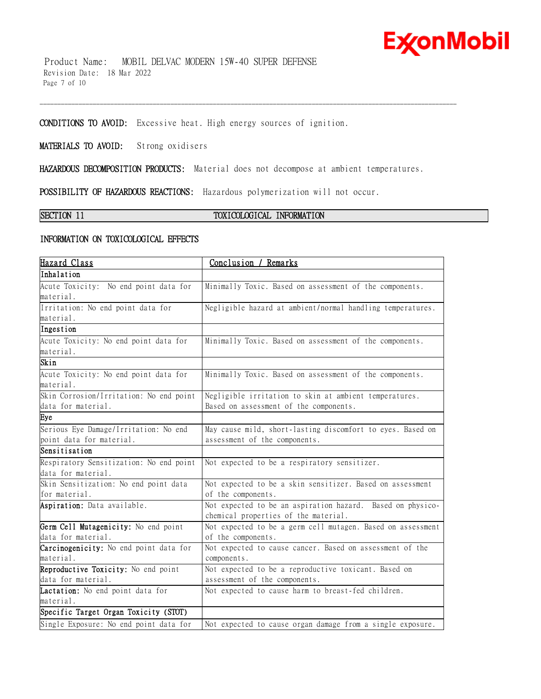Product Name: MOBIL DELVAC MODERN 15W-40 SUPER DEFENSE Revision Date: 18 Mar 2022 Page 7 of 10

**CONDITIONS TO AVOID:** Excessive heat. High energy sources of ignition.

**MATERIALS TO AVOID:** Strong oxidisers

**HAZARDOUS DECOMPOSITION PRODUCTS:** Material does not decompose at ambient temperatures.

\_\_\_\_\_\_\_\_\_\_\_\_\_\_\_\_\_\_\_\_\_\_\_\_\_\_\_\_\_\_\_\_\_\_\_\_\_\_\_\_\_\_\_\_\_\_\_\_\_\_\_\_\_\_\_\_\_\_\_\_\_\_\_\_\_\_\_\_\_\_\_\_\_\_\_\_\_\_\_\_\_\_\_\_\_\_\_\_\_\_\_\_\_\_\_\_\_\_\_\_\_\_\_\_\_\_\_\_\_\_\_\_\_\_\_\_\_\_

**POSSIBILITY OF HAZARDOUS REACTIONS:** Hazardous polymerization will not occur.

### **SECTION 11 TOXICOLOGICAL INFORMATION**

### **INFORMATION ON TOXICOLOGICAL EFFECTS**

| Hazard Class                            | Conclusion / Remarks                                        |  |  |
|-----------------------------------------|-------------------------------------------------------------|--|--|
| Inhalation                              |                                                             |  |  |
| Acute Toxicity: No end point data for   | Minimally Toxic. Based on assessment of the components.     |  |  |
| material.                               |                                                             |  |  |
| Irritation: No end point data for       | Negligible hazard at ambient/normal handling temperatures.  |  |  |
| material.                               |                                                             |  |  |
| Ingestion                               |                                                             |  |  |
| Acute Toxicity: No end point data for   | Minimally Toxic. Based on assessment of the components.     |  |  |
| material.                               |                                                             |  |  |
| Skin                                    |                                                             |  |  |
| Acute Toxicity: No end point data for   | Minimally Toxic. Based on assessment of the components.     |  |  |
| material.                               |                                                             |  |  |
| Skin Corrosion/Irritation: No end point | Negligible irritation to skin at ambient temperatures.      |  |  |
| data for material.                      | Based on assessment of the components.                      |  |  |
| Eye                                     |                                                             |  |  |
| Serious Eye Damage/Irritation: No end   | May cause mild, short-lasting discomfort to eyes. Based on  |  |  |
| point data for material.                | assessment of the components.                               |  |  |
| Sensitisation                           |                                                             |  |  |
| Respiratory Sensitization: No end point | Not expected to be a respiratory sensitizer.                |  |  |
| data for material.                      |                                                             |  |  |
| Skin Sensitization: No end point data   | Not expected to be a skin sensitizer. Based on assessment   |  |  |
| for material.                           | of the components.                                          |  |  |
| Aspiration: Data available.             | Not expected to be an aspiration hazard. Based on physico-  |  |  |
|                                         | chemical properties of the material.                        |  |  |
| Germ Cell Mutagenicity: No end point    | Not expected to be a germ cell mutagen. Based on assessment |  |  |
| data for material.                      | of the components.                                          |  |  |
| Carcinogenicity: No end point data for  | Not expected to cause cancer. Based on assessment of the    |  |  |
| material.                               | components.                                                 |  |  |
| Reproductive Toxicity: No end point     | Not expected to be a reproductive toxicant. Based on        |  |  |
| data for material.                      | assessment of the components.                               |  |  |
| Lactation: No end point data for        | Not expected to cause harm to breast-fed children.          |  |  |
| material.                               |                                                             |  |  |
| Specific Target Organ Toxicity (STOT)   |                                                             |  |  |
| Single Exposure: No end point data for  | Not expected to cause organ damage from a single exposure.  |  |  |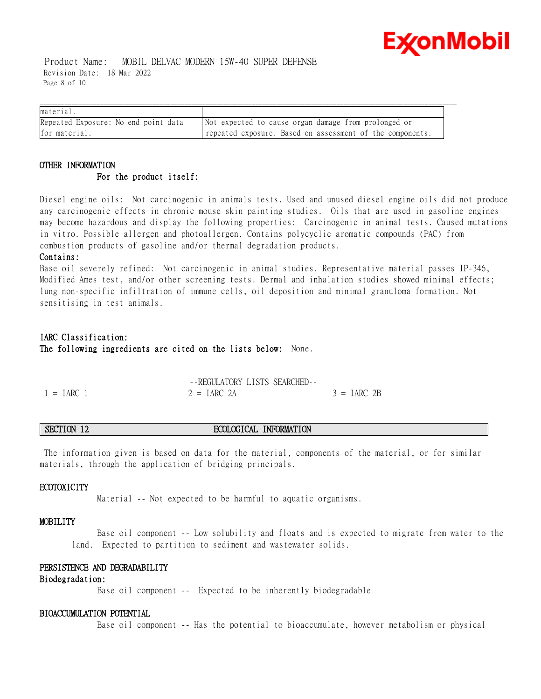Product Name: MOBIL DELVAC MODERN 15W-40 SUPER DEFENSE Revision Date: 18 Mar 2022 Page 8 of 10

| material.                            |                                                           |
|--------------------------------------|-----------------------------------------------------------|
| Repeated Exposure: No end point data | Not expected to cause organ damage from prolonged or      |
| for material.                        | repeated exposure. Based on assessment of the components. |

## **OTHER INFORMATION For the product itself:**

Diesel engine oils: Not carcinogenic in animals tests. Used and unused diesel engine oils did not produce any carcinogenic effects in chronic mouse skin painting studies. Oils that are used in gasoline engines may become hazardous and display the following properties: Carcinogenic in animal tests. Caused mutations in vitro. Possible allergen and photoallergen. Contains polycyclic aromatic compounds (PAC) from combustion products of gasoline and/or thermal degradation products.

### **Contains:**

Base oil severely refined: Not carcinogenic in animal studies. Representative material passes IP-346, Modified Ames test, and/or other screening tests. Dermal and inhalation studies showed minimal effects; lung non-specific infiltration of immune cells, oil deposition and minimal granuloma formation. Not sensitising in test animals.

## **IARC Classification: The following ingredients are cited on the lists below:** None.

|              | --REGULATORY LISTS SEARCHED- |               |
|--------------|------------------------------|---------------|
| $1 = IARC$ 1 | $2 = IARC 2A$                | $3 = IARC$ 2B |

### **SECTION 12 ECOLOGICAL INFORMATION**

The information given is based on data for the material, components of the material, or for similar materials, through the application of bridging principals.

### **ECOTOXICITY**

Material -- Not expected to be harmful to aquatic organisms.

### **MOBILITY**

 Base oil component -- Low solubility and floats and is expected to migrate from water to the land. Expected to partition to sediment and wastewater solids.

### **PERSISTENCE AND DEGRADABILITY**

### **Biodegradation:**

Base oil component -- Expected to be inherently biodegradable

### **BIOACCUMULATION POTENTIAL**

Base oil component -- Has the potential to bioaccumulate, however metabolism or physical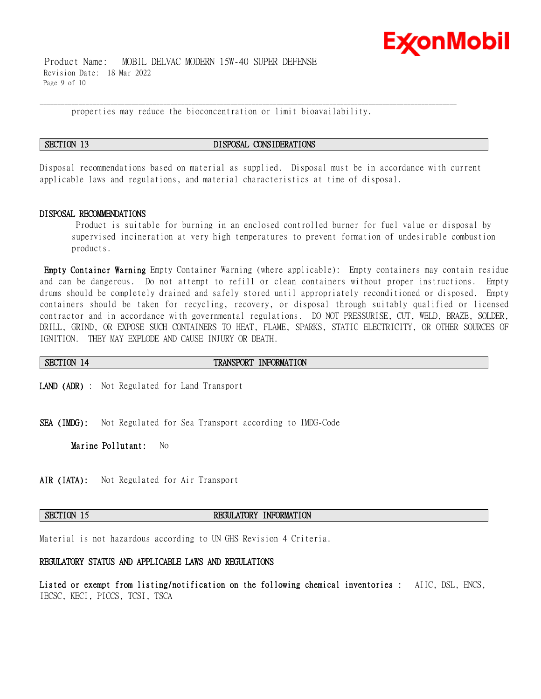

 Product Name: MOBIL DELVAC MODERN 15W-40 SUPER DEFENSE Revision Date: 18 Mar 2022 Page 9 of 10

properties may reduce the bioconcentration or limit bioavailability.

\_\_\_\_\_\_\_\_\_\_\_\_\_\_\_\_\_\_\_\_\_\_\_\_\_\_\_\_\_\_\_\_\_\_\_\_\_\_\_\_\_\_\_\_\_\_\_\_\_\_\_\_\_\_\_\_\_\_\_\_\_\_\_\_\_\_\_\_\_\_\_\_\_\_\_\_\_\_\_\_\_\_\_\_\_\_\_\_\_\_\_\_\_\_\_\_\_\_\_\_\_\_\_\_\_\_\_\_\_\_\_\_\_\_\_\_\_\_

### **SECTION 13 DISPOSAL CONSIDERATIONS**

Disposal recommendations based on material as supplied. Disposal must be in accordance with current applicable laws and regulations, and material characteristics at time of disposal.

### **DISPOSAL RECOMMENDATIONS**

Product is suitable for burning in an enclosed controlled burner for fuel value or disposal by supervised incineration at very high temperatures to prevent formation of undesirable combustion products.

**Empty Container Warning** Empty Container Warning (where applicable): Empty containers may contain residue and can be dangerous. Do not attempt to refill or clean containers without proper instructions. Empty drums should be completely drained and safely stored until appropriately reconditioned or disposed. Empty containers should be taken for recycling, recovery, or disposal through suitably qualified or licensed contractor and in accordance with governmental regulations. DO NOT PRESSURISE, CUT, WELD, BRAZE, SOLDER, DRILL, GRIND, OR EXPOSE SUCH CONTAINERS TO HEAT, FLAME, SPARKS, STATIC ELECTRICITY, OR OTHER SOURCES OF IGNITION. THEY MAY EXPLODE AND CAUSE INJURY OR DEATH.

**SECTION 14 TRANSPORT INFORMATION** 

**LAND (ADR)** : Not Regulated for Land Transport

**SEA (IMDG):** Not Regulated for Sea Transport according to IMDG-Code

**Marine Pollutant:** No

**AIR (IATA):** Not Regulated for Air Transport

### **SECTION 15 REGULATORY INFORMATION**

Material is not hazardous according to UN GHS Revision 4 Criteria.

### **REGULATORY STATUS AND APPLICABLE LAWS AND REGULATIONS**

**Listed or exempt from listing/notification on the following chemical inventories :** AIIC, DSL, ENCS, IECSC, KECI, PICCS, TCSI, TSCA